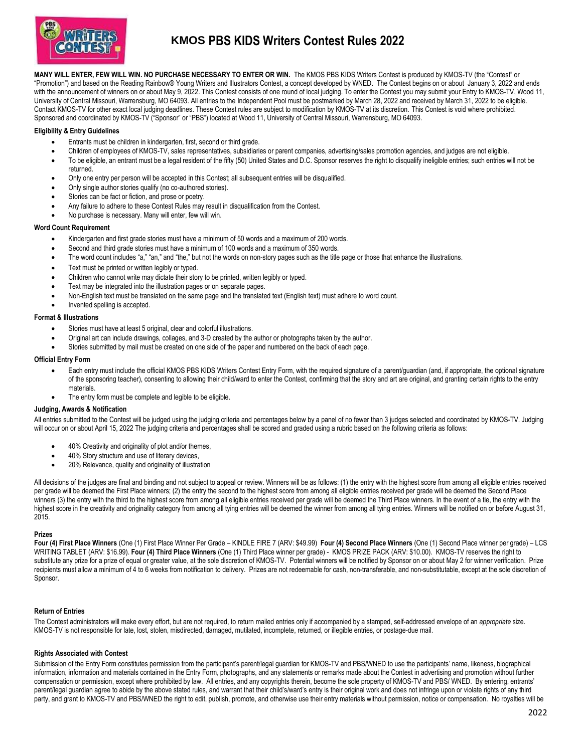

# **KMOS PBS KIDS Writers Contest Rules 2022**

**MANY WILL ENTER, FEW WILL WIN. NO PURCHASE NECESSARY TO ENTER OR WIN.** The KMOS PBS KIDS Writers Contest is produced by KMOS-TV (the "Contest" or "Promotion") and based on the Reading Rainbow® Young Writers and Illustrators Contest, a concept developed by WNED. The Contest begins on or about January 3, 2022 and ends with the announcement of winners on or about May 9, 2022. This Contest consists of one round of local judging. To enter the Contest you may submit your Entry to KMOS-TV, Wood 11, University of Central Missouri, Warrensburg, MO 64093. All entries to the Independent Pool must be postmarked by March 28, 2022 and received by March 31, 2022 to be eligible. Contact KMOS-TV for other exact local judging deadlines. These Contest rules are subject to modification by KMOS-TV at its discretion. This Contest is void where prohibited. Sponsored and coordinated by KMOS-TV ("Sponsor" or "PBS") located at Wood 11, University of Central Missouri, Warrensburg, MO 64093.

# **Eligibility & Entry Guidelines**

- Entrants must be children in kindergarten, first, second or third grade.
- Children of employees of KMOS-TV, sales representatives, subsidiaries or parent companies, advertising/sales promotion agencies, and judges are not eligible.
- To be eligible, an entrant must be a legal resident of the fifty (50) United States and D.C. Sponsor reserves the right to disqualify ineligible entries; such entries will not be returned.
- Only one entry per person will be accepted in this Contest; all subsequent entries will be disqualified.
- Only single author stories qualify (no co-authored stories).
- Stories can be fact or fiction, and prose or poetry.
- Any failure to adhere to these Contest Rules may result in disqualification from the Contest.
- No purchase is necessary. Many will enter, few will win.

#### **Word Count Requirement**

- Kindergarten and first grade stories must have a minimum of 50 words and a maximum of 200 words.
- Second and third grade stories must have a minimum of 100 words and a maximum of 350 words.
- The word count includes "a," "an," and "the," but not the words on non-story pages such as the title page or those that enhance the illustrations.
- Text must be printed or written legibly or typed.
- Children who cannot write may dictate their story to be printed, written legibly or typed.
- Text may be integrated into the illustration pages or on separate pages.
- Non-English text must be translated on the same page and the translated text (English text) must adhere to word count.
- Invented spelling is accepted.

#### **Format & Illustrations**

- Stories must have at least 5 original, clear and colorful illustrations.
- Original art can include drawings, collages, and 3-D created by the author or photographs taken by the author.
- Stories submitted by mail must be created on one side of the paper and numbered on the back of each page.

#### **Official Entry Form**

- Each entry must include the official KMOS PBS KIDS Writers Contest Entry Form, with the required signature of a parent/guardian (and, if appropriate, the optional signature of the sponsoring teacher), consenting to allowing their child/ward to enter the Contest, confirming that the story and art are original, and granting certain rights to the entry materials.
- The entry form must be complete and legible to be eligible.

# **Judging, Awards & Notification**

All entries submitted to the Contest will be judged using the judging criteria and percentages below by a panel of no fewer than 3 judges selected and coordinated by KMOS-TV. Judging will occur on or about April 15, 2022 The judging criteria and percentages shall be scored and graded using a rubric based on the following criteria as follows:

- 40% Creativity and originality of plot and/or themes,
- 40% Story structure and use of literary devices,
- 20% Relevance, quality and originality of illustration

All decisions of the judges are final and binding and not subject to appeal or review. Winners will be as follows: (1) the entry with the highest score from among all eligible entries received per grade will be deemed the First Place winners; (2) the entry the second to the highest score from among all eligible entries received per grade will be deemed the Second Place winners (3) the entry with the third to the highest score from among all eligible entries received per grade will be deemed the Third Place winners. In the event of a tie, the entry with the highest score in the creativity and originality category from among all tying entries will be deemed the winner from among all tying entries. Winners will be notified on or before August 31, 2015.

#### **Prizes**

**Four (4) First Place Winners** (One (1) First Place Winner Per Grade – KINDLE FIRE 7 (ARV: \$49.99) **Four (4) Second Place Winners** (One (1) Second Place winner per grade) – LCS WRITING TABLET (ARV: \$16.99). **Four (4) Third Place Winners** (One (1) Third Place winner per grade) - KMOS PRIZE PACK (ARV: \$10.00). KMOS-TV reserves the right to substitute any prize for a prize of equal or greater value, at the sole discretion of KMOS-TV. Potential winners will be notified by Sponsor on or about May 2 for winner verification. Prize recipients must allow a minimum of 4 to 6 weeks from notification to delivery. Prizes are not redeemable for cash, non-transferable, and non-substitutable, except at the sole discretion of Sponsor.

## **Return of Entries**

The Contest administrators will make every effort, but are not required, to return mailed entries only if accompanied by a stamped, self-addressed envelope of an *appropriate* size. KMOS-TV is not responsible for late, lost, stolen, misdirected, damaged, mutilated, incomplete, returned, or illegible entries, or postage-due mail.

## **Rights Associated with Contest**

Submission of the Entry Form constitutes permission from the participant's parent/legal guardian for KMOS-TV and PBS/WNED to use the participants' name, likeness, biographical information, information and materials contained in the Entry Form, photographs, and any statements or remarks made about the Contest in advertising and promotion without further compensation or permission, except where prohibited by law. All entries, and any copyrights therein, become the sole property of KMOS-TV and PBS/ WNED. By entering, entrants' parent/legal guardian agree to abide by the above stated rules, and warrant that their child's/ward's entry is their original work and does not infringe upon or violate rights of any third party, and grant to KMOS-TV and PBS/WNED the right to edit, publish, promote, and otherwise use their entry materials without permission, notice or compensation. No royalties will be